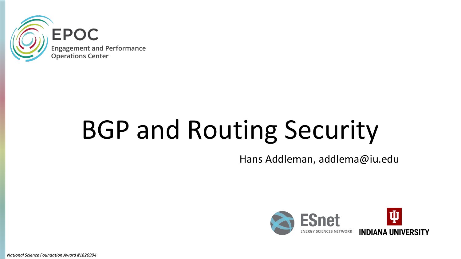

# BGP and Routing Security

Hans Addleman, addlema@iu.edu



*National Science Foundation Award #1826994*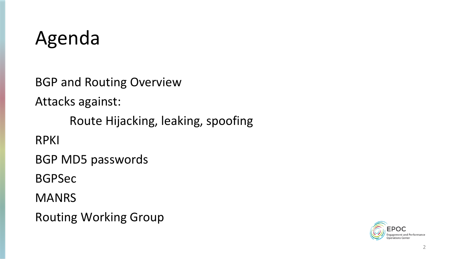#### Agenda

BGP and Routing Overview

Attacks against:

Route Hijacking, leaking, spoofing

RPKI

BGP MD5 passwords

BGPSec

MANRS

Routing Working Group

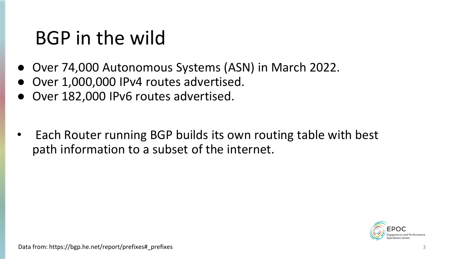#### BGP in the wild

- Over 74,000 Autonomous Systems (ASN) in March 2022.
- Over 1,000,000 IPv4 routes advertised.
- Over 182,000 IPv6 routes advertised.
- Each Router running BGP builds its own routing table with best path information to a subset of the internet.

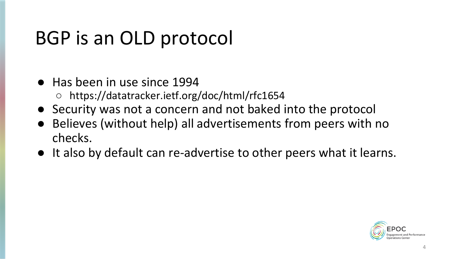#### BGP is an OLD protocol

- Has been in use since 1994
	- https://datatracker.ietf.org/doc/html/rfc1654
- Security was not a concern and not baked into the protocol
- Believes (without help) all advertisements from peers with no checks.
- It also by default can re-advertise to other peers what it learns.

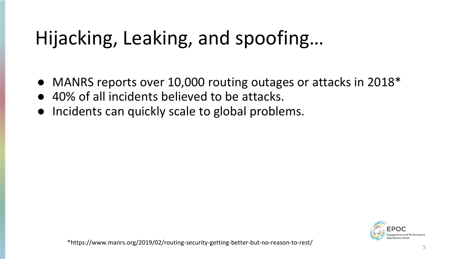## Hijacking, Leaking, and spoofing…

- MANRS reports over 10,000 routing outages or attacks in 2018\*
- 40% of all incidents believed to be attacks.
- Incidents can quickly scale to global problems.

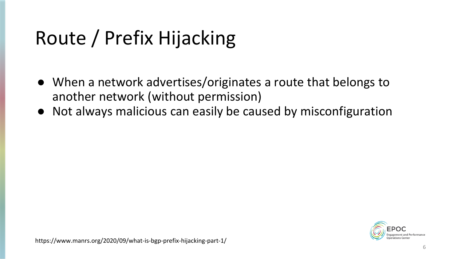## Route / Prefix Hijacking

- When a network advertises/originates a route that belongs to another network (without permission)
- Not always malicious can easily be caused by misconfiguration

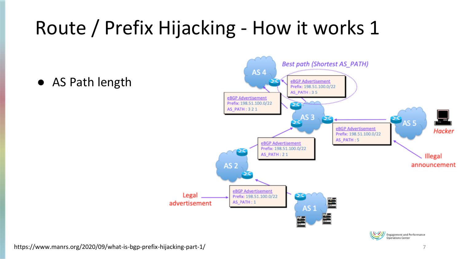#### Route / Prefix Hijacking - How it works 1

● AS Path length





https://www.manrs.org/2020/09/what-is-bgp-prefix-hijacking-part-1/ 7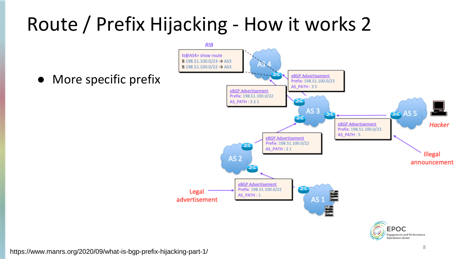#### Route / Prefix Hijacking - How it works 2





https://www.manrs.org/2020/09/what-is-bgp-prefix-hijacking-part-1/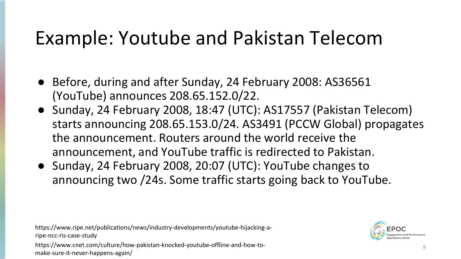#### Example: Youtube and Pakistan Telecom

- Before, during and after Sunday, 24 February 2008: AS36561 (YouTube) announces 208.65.152.0/22.
- Sunday, 24 February 2008, 18:47 (UTC): AS17557 (Pakistan Telecom) starts announcing 208.65.153.0/24. AS3491 (PCCW Global) propagates the announcement. Routers around the world receive the announcement, and YouTube traffic is redirected to Pakistan.
- Sunday, 24 February 2008, 20:07 (UTC): YouTube changes to announcing two /24s. Some traffic starts going back to YouTube.

https://www.ripe.net/publications/news/industry-developments/youtube-hijacking-aripe-ncc-ris-case-study



https://www.cnet.com/culture/how-pakistan-knocked-youtube-offline-and-how-tomake-sure-it-never-happens-again/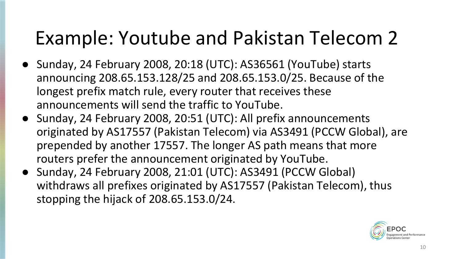#### Example: Youtube and Pakistan Telecom 2

- Sunday, 24 February 2008, 20:18 (UTC): AS36561 (YouTube) starts announcing 208.65.153.128/25 and 208.65.153.0/25. Because of the longest prefix match rule, every router that receives these announcements will send the traffic to YouTube.
- Sunday, 24 February 2008, 20:51 (UTC): All prefix announcements originated by AS17557 (Pakistan Telecom) via AS3491 (PCCW Global), are prepended by another 17557. The longer AS path means that more routers prefer the announcement originated by YouTube.
- Sunday, 24 February 2008, 21:01 (UTC): AS3491 (PCCW Global) withdraws all prefixes originated by AS17557 (Pakistan Telecom), thus stopping the hijack of 208.65.153.0/24.

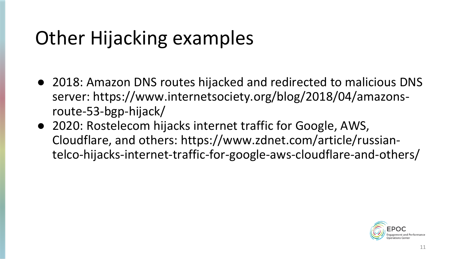#### Other Hijacking examples

- 2018: Amazon DNS routes hijacked and redirected to malicious DNS server: https://www.internetsociety.org/blog/2018/04/amazonsroute-53-bgp-hijack/
- 2020: Rostelecom hijacks internet traffic for Google, AWS, Cloudflare, and others: https://www.zdnet.com/article/russiantelco-hijacks-internet-traffic-for-google-aws-cloudflare-and-others/

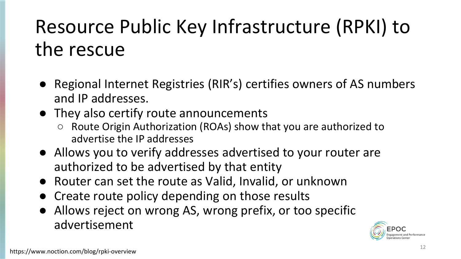#### Resource Public Key Infrastructure (RPKI) to the rescue

- Regional Internet Registries (RIR's) certifies owners of AS numbers and IP addresses.
- They also certify route announcements
	- Route Origin Authorization (ROAs) show that you are authorized to advertise the IP addresses
- Allows you to verify addresses advertised to your router are authorized to be advertised by that entity
- Router can set the route as Valid, Invalid, or unknown
- Create route policy depending on those results
- Allows reject on wrong AS, wrong prefix, or too specific advertisement

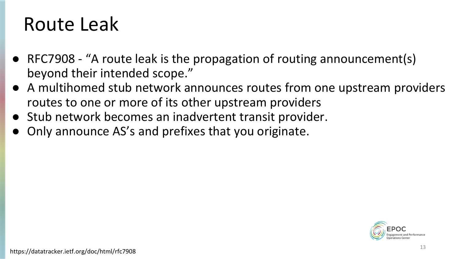#### Route Leak

- RFC7908 "A route leak is the propagation of routing announcement(s) beyond their intended scope."
- A multihomed stub network announces routes from one upstream providers routes to one or more of its other upstream providers
- Stub network becomes an inadvertent transit provider.
- Only announce AS's and prefixes that you originate.

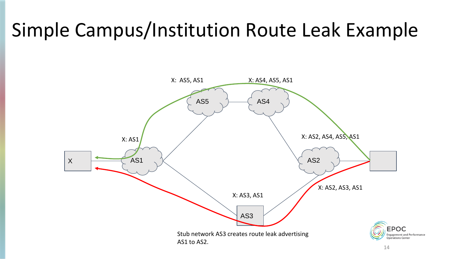#### Simple Campus/Institution Route Leak Example

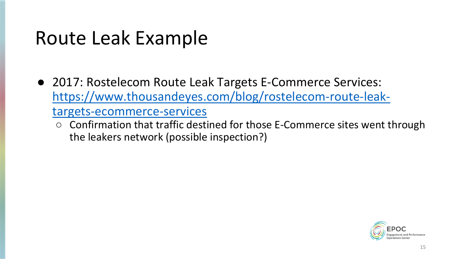#### Route Leak Example

- 2017: Rostelecom Route Leak Targets E-Commerce Services: [https://www.thousandeyes.com/blog/rostelecom-route-leak](https://www.thousandeyes.com/blog/rostelecom-route-leak-targets-ecommerce-services)targets-ecommerce-services
	- Confirmation that traffic destined for those E-Commerce sites went through the leakers network (possible inspection?)

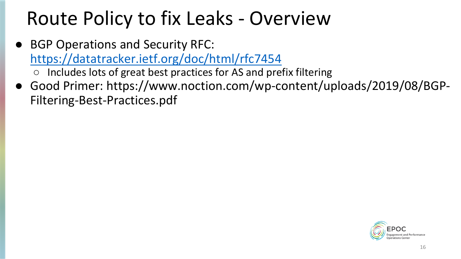#### Route Policy to fix Leaks - Overview

- **BGP Operations and Security RFC:** <https://datatracker.ietf.org/doc/html/rfc7454> ○ Includes lots of great best practices for AS and prefix filtering
- Good Primer: https://www.noction.com/wp-content/uploads/2019/08/BGP-Filtering-Best-Practices.pdf

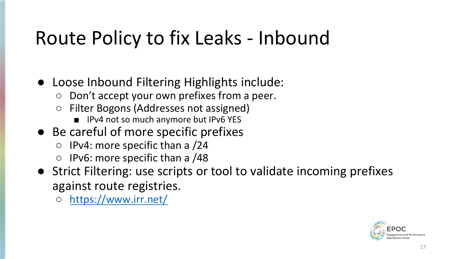#### Route Policy to fix Leaks - Inbound

- Loose Inbound Filtering Highlights include:
	- Don't accept your own prefixes from a peer.
	- Filter Bogons (Addresses not assigned)
		- IPv4 not so much anymore but IPv6 YES
- Be careful of more specific prefixes
	- $\circ$  IPv4: more specific than a /24
	- IPv6: more specific than a /48
- Strict Filtering: use scripts or tool to validate incoming prefixes against route registries.
	- <https://www.irr.net/>

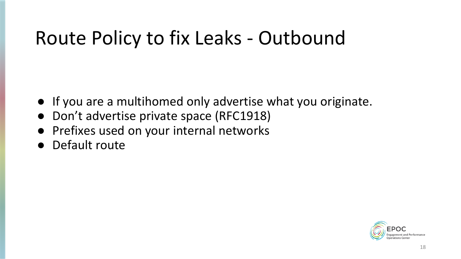#### Route Policy to fix Leaks - Outbound

- If you are a multihomed only advertise what you originate.
- Don't advertise private space (RFC1918)
- Prefixes used on your internal networks
- Default route

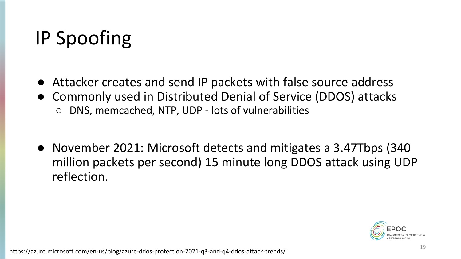#### IP Spoofing

- Attacker creates and send IP packets with false source address
- Commonly used in Distributed Denial of Service (DDOS) attacks DNS, memcached, NTP, UDP - lots of vulnerabilities
- November 2021: Microsoft detects and mitigates a 3.47Tbps (340 million packets per second) 15 minute long DDOS attack using UDP reflection.

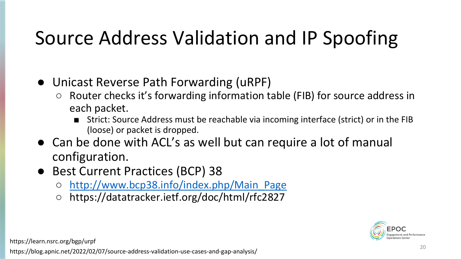#### Source Address Validation and IP Spoofing

- Unicast Reverse Path Forwarding (uRPF)
	- Router checks it's forwarding information table (FIB) for source address in each packet.
		- Strict: Source Address must be reachable via incoming interface (strict) or in the FIB (loose) or packet is dropped.
- Can be done with ACL's as well but can require a lot of manual configuration.
- Best Current Practices (BCP) 38
	- [http://www.bcp38.info/index.php/Main\\_Page](http://www.bcp38.info/index.php/Main_Page)
	- https://datatracker.ietf.org/doc/html/rfc2827



https://learn.nsrc.org/bgp/urpf

<sup>20</sup> https://blog.apnic.net/2022/02/07/source-address-validation-use-cases-and-gap-analysis/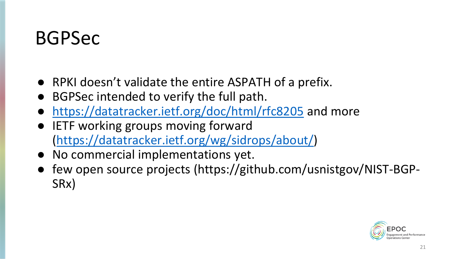#### BGPSec

- RPKI doesn't validate the entire ASPATH of a prefix.
- BGPSec intended to verify the full path.
- <https://datatracker.ietf.org/doc/html/rfc8205> and more
- IETF working groups moving forward (<https://datatracker.ietf.org/wg/sidrops/about/>)
- No commercial implementations yet.
- few open source projects (https://github.com/usnistgov/NIST-BGP-SRx)

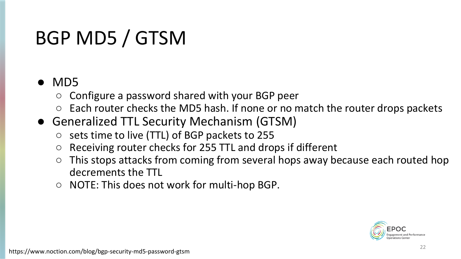#### BGP MD5 / GTSM

#### ● MD5

- Configure a password shared with your BGP peer
- Each router checks the MD5 hash. If none or no match the router drops packets
- Generalized TTL Security Mechanism (GTSM)
	- sets time to live (TTL) of BGP packets to 255
	- Receiving router checks for 255 TTL and drops if different
	- This stops attacks from coming from several hops away because each routed hop decrements the TTL
	- NOTE: This does not work for multi-hop BGP.

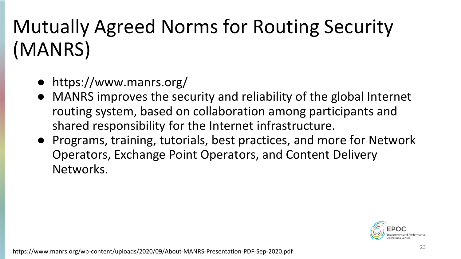## Mutually Agreed Norms for Routing Security (MANRS)

- https://www.manrs.org/
- MANRS improves the security and reliability of the global Internet routing system, based on collaboration among participants and shared responsibility for the Internet infrastructure.
- Programs, training, tutorials, best practices, and more for Network Operators, Exchange Point Operators, and Content Delivery Networks.

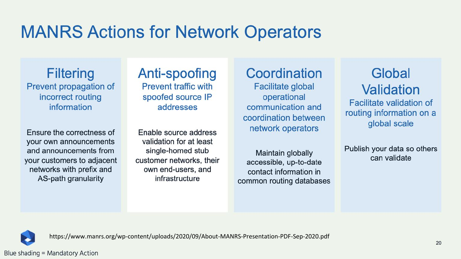#### **MANRS Actions for Network Operators**

**Filtering** Prevent propagation of incorrect routing information

Ensure the correctness of your own announcements and announcements from your customers to adjacent networks with prefix and AS-path granularity

Anti-spoofing **Prevent traffic with** spoofed source IP addresses

Enable source address validation for at least single-homed stub customer networks, their own end-users, and infrastructure

Coordination **Facilitate global** operational communication and coordination between network operators

Maintain globally accessible, up-to-date contact information in common routing databases

Global Validation Facilitate validation of

routing information on a global scale

Publish your data so others can validate



https://www.manrs.org/wp-content/uploads/2020/09/About-MANRS-Presentation-PDF-Sep-2020.pdf

#### Blue shading = Mandatory Action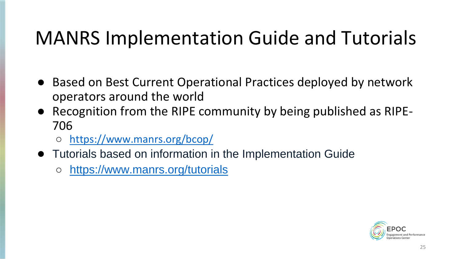#### MANRS Implementation Guide and Tutorials

- Based on Best Current Operational Practices deployed by network operators around the world
- Recognition from the RIPE community by being published as RIPE-706
	- <https://www.manrs.org/bcop/>
- Tutorials based on information in the Implementation Guide
	- <https://www.manrs.org/tutorials>

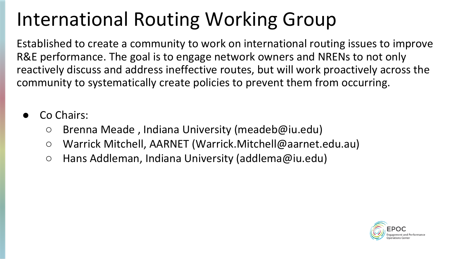#### International Routing Working Group

Established to create a community to work on international routing issues to improve R&E performance. The goal is to engage network owners and NRENs to not only reactively discuss and address ineffective routes, but will work proactively across the community to systematically create policies to prevent them from occurring.

- Co Chairs:
	- Brenna Meade, Indiana University (meadeb@iu.edu)
	- Warrick Mitchell, AARNET (Warrick.Mitchell@aarnet.edu.au)
	- Hans Addleman, Indiana University (addlema@iu.edu)

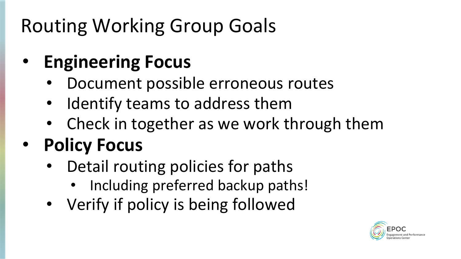#### Routing Working Group Goals

#### • **Engineering Focus**

- Document possible erroneous routes
- Identify teams to address them
- Check in together as we work through them

#### • **Policy Focus**

- Detail routing policies for paths
	- Including preferred backup paths!
- Verify if policy is being followed

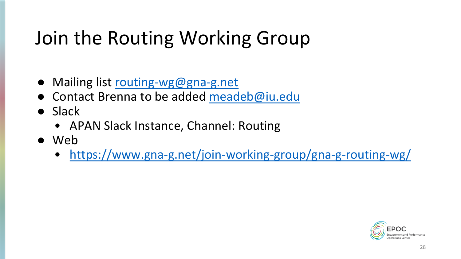#### Join the Routing Working Group

- Mailing list [routing-wg@gna-g.net](mailto:routing-wg@gna-g.net)
- Contact Brenna to be added [meadeb@iu.edu](mailto:meadeb@iu.edu)
- Slack
	- APAN Slack Instance, Channel: Routing
- Web
	- <https://www.gna-g.net/join-working-group/gna-g-routing-wg/>

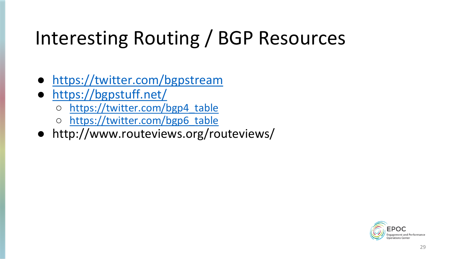#### Interesting Routing / BGP Resources

- <https://twitter.com/bgpstream>
- <https://bgpstuff.net/>
	- [https://twitter.com/bgp4\\_table](https://twitter.com/bgp4_table)
	- [https://twitter.com/bgp6\\_table](https://twitter.com/bgp6_table)
- http://www.routeviews.org/routeviews/